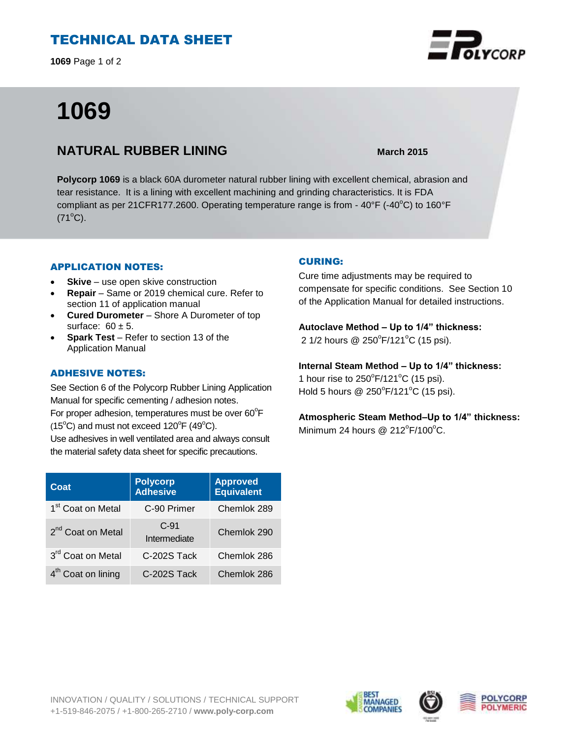# TECHNICAL DATA SHEET

**1069** Page 1 of 2

# **1069**

### **NATURAL RUBBER LINING March** 2015

**Polycorp 1069** is a black 60A durometer natural rubber lining with excellent chemical, abrasion and tear resistance. It is a lining with excellent machining and grinding characteristics. It is FDA compliant as per 21CFR177.2600. Operating temperature range is from -  $40^{\circ}$ F (- $40^{\circ}$ C) to 160°F  $(71^{\circ}C)$ .

#### APPLICATION NOTES:

- **Skive** use open skive construction
- **Repair**  Same or 2019 chemical cure. Refer to section 11 of application manual
- **Cured Durometer**  Shore A Durometer of top surface:  $60 \pm 5$ .
- **Spark Test** Refer to section 13 of the Application Manual

#### ADHESIVE NOTES:

See Section 6 of the Polycorp Rubber Lining Application Manual for specific cementing / adhesion notes. For proper adhesion, temperatures must be over  $60^{\circ}$ F  $(15^{\circ}C)$  and must not exceed  $120^{\circ}F(49^{\circ}C)$ .

Use adhesives in well ventilated area and always consult the material safety data sheet for specific precautions.

| Coat                           | <b>Polycorp</b><br><b>Adhesive</b> | <b>Approved</b><br><b>Equivalent</b> |
|--------------------------------|------------------------------------|--------------------------------------|
| 1 <sup>st</sup> Coat on Metal  | C-90 Primer                        | Chemlok 289                          |
| 2 <sup>nd</sup> Coat on Metal  | $C-91$<br>Intermediate             | Chemlok 290                          |
| 3rd Coat on Metal              | C-202S Tack                        | Chemlok 286                          |
| 4 <sup>th</sup> Coat on lining | C-202S Tack                        | Chemlok 286                          |

#### CURING:

Cure time adjustments may be required to compensate for specific conditions. See Section 10 of the Application Manual for detailed instructions.

**Autoclave Method – Up to 1/4" thickness:** 2 1/2 hours @ 250°F/121°C (15 psi).

**Internal Steam Method – Up to 1/4" thickness:** 1 hour rise to  $250^{\circ}$ F/121 $^{\circ}$ C (15 psi). Hold 5 hours  $@$  250 $^{\circ}$ F/121 $^{\circ}$ C (15 psi).

**Atmospheric Steam Method–Up to 1/4" thickness:** Minimum 24 hours @  $212^{\circ}$ F/100 $^{\circ}$ C.